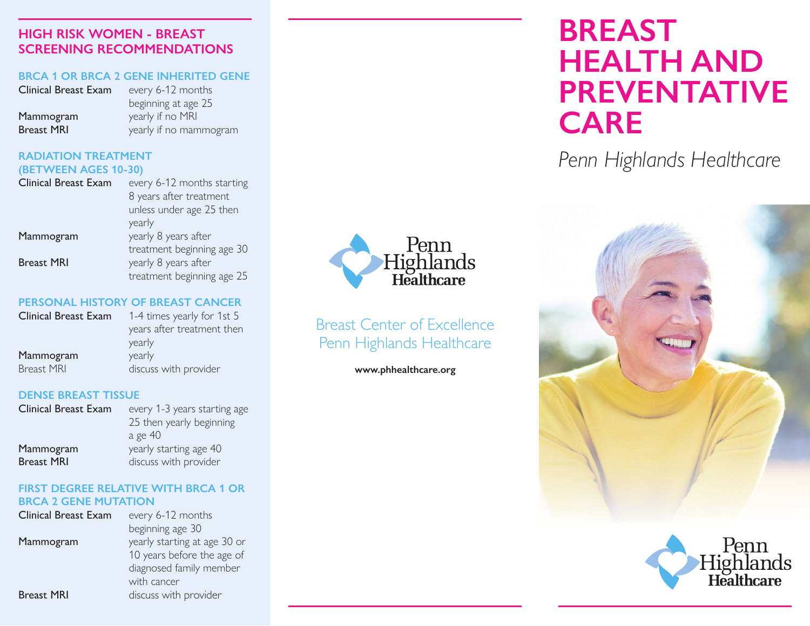#### **HIGH RISK WOMEN - BREAST SCREENING RECOMMENDATIONS**

#### **BRCA 1 OR BRCA 2 GENE INHERITED GENE**

| <b>Clinical Breast Exam</b> | every 6-12 months      |
|-----------------------------|------------------------|
|                             | beginning at age 25    |
| Mammogram                   | yearly if no MRI       |
| <b>Breast MRI</b>           | yearly if no mammogram |

#### **RADIATION TREATMENT (BETWEEN AGES 10-30)**

| <b>Clinical Breast Exam</b> | every 6-12 months starting |
|-----------------------------|----------------------------|
|                             | 8 years after treatment    |
|                             | unless under age 25 then   |
|                             | yearly                     |
| Mammogram                   | yearly 8 years after       |
|                             | treatment beginning age 30 |
| <b>Breast MRI</b>           | yearly 8 years after       |
|                             | treatment beginning age 25 |

#### **PERSONAL HISTORY OF BREAST CANCER**

| Clinical Breast Exam | 1-4 times yearly for 1st 5 |
|----------------------|----------------------------|
|                      | years after treatment then |
|                      | yearly                     |
| Mammogram            | yearly                     |
| <b>Breast MRI</b>    | discuss with provider      |
|                      |                            |

#### **DENSE BREAST TISSUE**

| <b>Clinical Breast Exam</b> | every 1-3 years starting age |
|-----------------------------|------------------------------|
|                             | 25 then yearly beginning     |
|                             | a ge 40                      |
| Mammogram                   | yearly starting age 40       |
| <b>Breast MRI</b>           | discuss with provider        |

#### **FIRST DEGREE RELATIVE WITH BRCA 1 OR BRCA 2 GENE MUTATION**

| <b>Clinical Breast Exam</b> | every 6-12 months            |
|-----------------------------|------------------------------|
|                             | beginning age 30             |
| Mammogram                   | yearly starting at age 30 or |
|                             | 10 years before the age of   |
|                             | diagnosed family member      |
|                             | with cancer                  |
| <b>Breast MRI</b>           | discuss with provider        |
|                             |                              |



## Breast Center of Excellence Penn Highlands Healthcare

**www.phhealthcare.org**

# **BREAST HEALTH AND PREVENTATIVE CARE**

*Penn Highlands Healthcare*